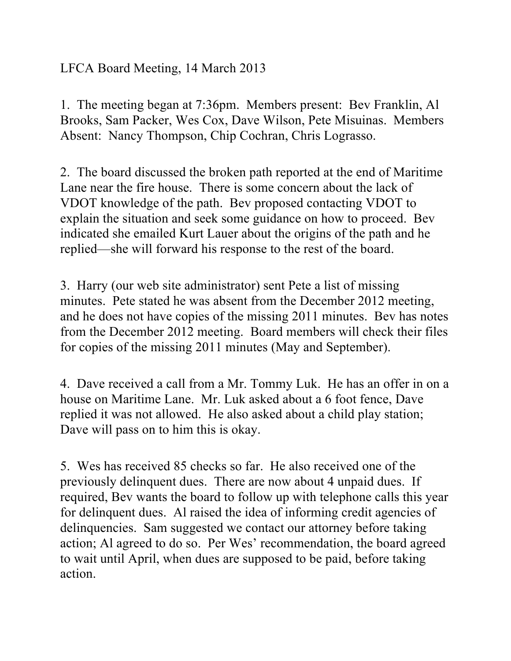## LFCA Board Meeting, 14 March 2013

1. The meeting began at 7:36pm. Members present: Bev Franklin, Al Brooks, Sam Packer, Wes Cox, Dave Wilson, Pete Misuinas. Members Absent: Nancy Thompson, Chip Cochran, Chris Lograsso.

2. The board discussed the broken path reported at the end of Maritime Lane near the fire house. There is some concern about the lack of VDOT knowledge of the path. Bev proposed contacting VDOT to explain the situation and seek some guidance on how to proceed. Bev indicated she emailed Kurt Lauer about the origins of the path and he replied—she will forward his response to the rest of the board.

3. Harry (our web site administrator) sent Pete a list of missing minutes. Pete stated he was absent from the December 2012 meeting, and he does not have copies of the missing 2011 minutes. Bev has notes from the December 2012 meeting. Board members will check their files for copies of the missing 2011 minutes (May and September).

4. Dave received a call from a Mr. Tommy Luk. He has an offer in on a house on Maritime Lane. Mr. Luk asked about a 6 foot fence, Dave replied it was not allowed. He also asked about a child play station; Dave will pass on to him this is okay.

5. Wes has received 85 checks so far. He also received one of the previously delinquent dues. There are now about 4 unpaid dues. If required, Bev wants the board to follow up with telephone calls this year for delinquent dues. Al raised the idea of informing credit agencies of delinquencies. Sam suggested we contact our attorney before taking action; Al agreed to do so. Per Wes' recommendation, the board agreed to wait until April, when dues are supposed to be paid, before taking action.